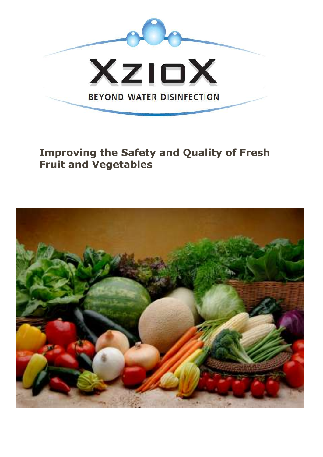

**Improving the Safety and Quality of Fresh Fruit and Vegetables**

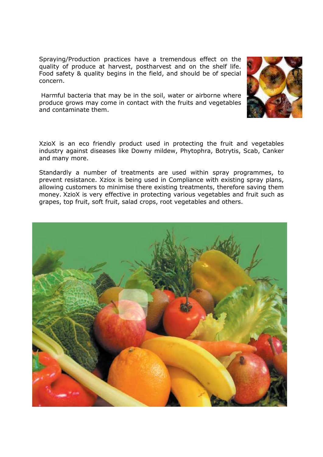Spraying/Production practices have a tremendous effect on the quality of produce at harvest, postharvest and on the shelf life. Food safety & quality begins in the field, and should be of special concern.

Harmful bacteria that may be in the soil, water or airborne where produce grows may come in contact with the fruits and vegetables and contaminate them.



XzioX is an eco friendly product used in protecting the fruit and vegetables industry against diseases like Downy mildew, Phytophra, Botrytis, Scab, Canker and many more.

Standardly a number of treatments are used within spray programmes, to prevent resistance. Xziox is being used in Compliance with existing spray plans, allowing customers to minimise there existing treatments, therefore saving them money. XzioX is very effective in protecting various vegetables and fruit such as grapes, top fruit, soft fruit, salad crops, root vegetables and others.

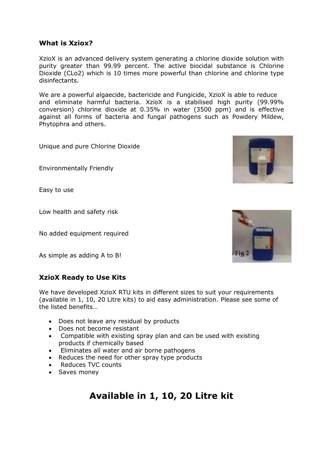#### **What is Xziox?**

XzioX is an advanced delivery system generating a chlorine dioxide solution with purity greater than 99.99 percent. The active biocidal substance is Chlorine Dioxide (CLo2) which is 10 times more powerful than chlorine and chlorine type disinfectants.

We are a powerful algaecide, bactericide and Fungicide, XzioX is able to reduce and eliminate harmful bacteria. XzioX is a stabilised high purity (99.99% conversion) chlorine dioxide at 0.35% in water (3500 ppm) and is effective against all forms of bacteria and fungal pathogens such as Powdery Mildew, Phytophra and others.

Unique and pure Chlorine Dioxide

Environmentally Friendly

Easy to use

Low health and safety risk

No added equipment required

As simple as adding A to B!

#### **XzioX Ready to Use Kits**

We have developed XzioX RTU kits in different sizes to suit your requirements (available in 1, 10, 20 Litre kits) to aid easy administration. Please see some of the listed benefits…

- Does not leave any residual by products
- Does not become resistant
- Compatible with existing spray plan and can be used with existing products if chemically based
- Eliminates all water and air borne pathogens
- Reduces the need for other spray type products
- Reduces TVC counts
- Saves money

## **Available in 1, 10, 20 Litre kit**



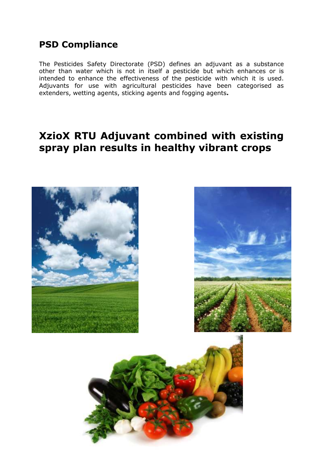### **PSD Compliance**

The [Pesticides Safety Directorate](http://en.wikipedia.org/wiki/Pesticides_Safety_Directorate) (PSD) defines an adjuvant as a substance other than water which is not in itself a [pesticide](http://en.wikipedia.org/wiki/Pesticide) but which enhances or is intended to enhance the effectiveness of the pesticide with which it is used. Adjuvants for use with agricultural pesticides have been categorised as extenders, wetting agents, sticking agents and fogging agents**.**

## **XzioX RTU Adjuvant combined with existing spray plan results in healthy vibrant crops**